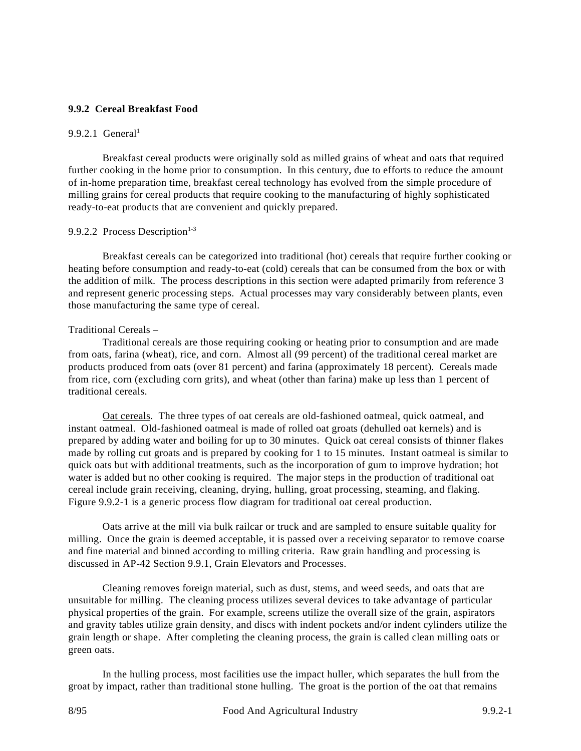# **9.9.2 Cereal Breakfast Food**

# 9.9.2.1 General<sup>1</sup>

Breakfast cereal products were originally sold as milled grains of wheat and oats that required further cooking in the home prior to consumption. In this century, due to efforts to reduce the amount of in-home preparation time, breakfast cereal technology has evolved from the simple procedure of milling grains for cereal products that require cooking to the manufacturing of highly sophisticated ready-to-eat products that are convenient and quickly prepared.

# 9.9.2.2 Process Description $1-3$

Breakfast cereals can be categorized into traditional (hot) cereals that require further cooking or heating before consumption and ready-to-eat (cold) cereals that can be consumed from the box or with the addition of milk. The process descriptions in this section were adapted primarily from reference 3 and represent generic processing steps. Actual processes may vary considerably between plants, even those manufacturing the same type of cereal.

# Traditional Cereals –

Traditional cereals are those requiring cooking or heating prior to consumption and are made from oats, farina (wheat), rice, and corn. Almost all (99 percent) of the traditional cereal market are products produced from oats (over 81 percent) and farina (approximately 18 percent). Cereals made from rice, corn (excluding corn grits), and wheat (other than farina) make up less than 1 percent of traditional cereals.

Oat cereals. The three types of oat cereals are old-fashioned oatmeal, quick oatmeal, and instant oatmeal. Old-fashioned oatmeal is made of rolled oat groats (dehulled oat kernels) and is prepared by adding water and boiling for up to 30 minutes. Quick oat cereal consists of thinner flakes made by rolling cut groats and is prepared by cooking for 1 to 15 minutes. Instant oatmeal is similar to quick oats but with additional treatments, such as the incorporation of gum to improve hydration; hot water is added but no other cooking is required. The major steps in the production of traditional oat cereal include grain receiving, cleaning, drying, hulling, groat processing, steaming, and flaking. Figure 9.9.2-1 is a generic process flow diagram for traditional oat cereal production.

Oats arrive at the mill via bulk railcar or truck and are sampled to ensure suitable quality for milling. Once the grain is deemed acceptable, it is passed over a receiving separator to remove coarse and fine material and binned according to milling criteria. Raw grain handling and processing is discussed in AP-42 Section 9.9.1, Grain Elevators and Processes.

Cleaning removes foreign material, such as dust, stems, and weed seeds, and oats that are unsuitable for milling. The cleaning process utilizes several devices to take advantage of particular physical properties of the grain. For example, screens utilize the overall size of the grain, aspirators and gravity tables utilize grain density, and discs with indent pockets and/or indent cylinders utilize the grain length or shape. After completing the cleaning process, the grain is called clean milling oats or green oats.

In the hulling process, most facilities use the impact huller, which separates the hull from the groat by impact, rather than traditional stone hulling. The groat is the portion of the oat that remains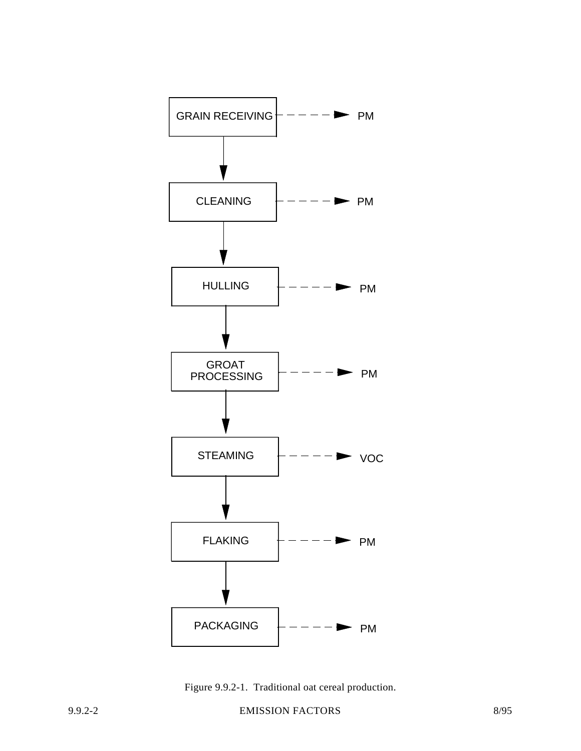

Figure 9.9.2-1. Traditional oat cereal production.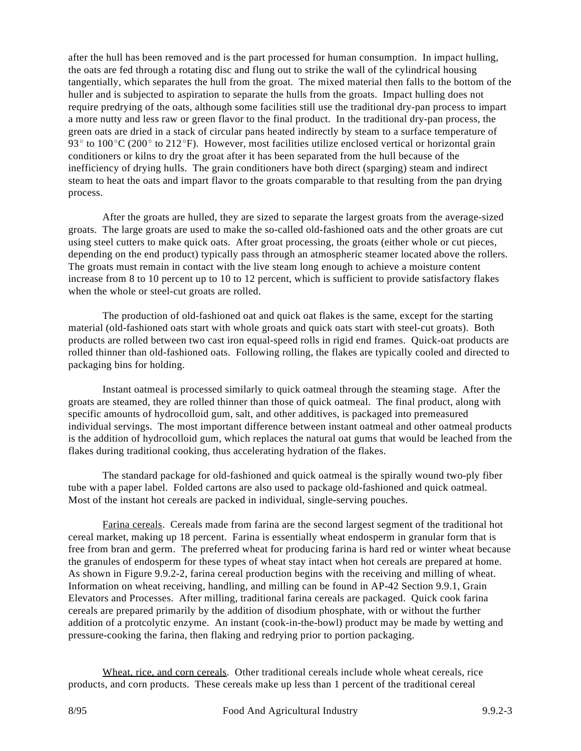after the hull has been removed and is the part processed for human consumption. In impact hulling, the oats are fed through a rotating disc and flung out to strike the wall of the cylindrical housing tangentially, which separates the hull from the groat. The mixed material then falls to the bottom of the huller and is subjected to aspiration to separate the hulls from the groats. Impact hulling does not require predrying of the oats, although some facilities still use the traditional dry-pan process to impart a more nutty and less raw or green flavor to the final product. In the traditional dry-pan process, the green oats are dried in a stack of circular pans heated indirectly by steam to a surface temperature of 93 $\degree$  to 100 $\degree$ C (200 $\degree$  to 212 $\degree$ F). However, most facilities utilize enclosed vertical or horizontal grain conditioners or kilns to dry the groat after it has been separated from the hull because of the inefficiency of drying hulls. The grain conditioners have both direct (sparging) steam and indirect steam to heat the oats and impart flavor to the groats comparable to that resulting from the pan drying process.

After the groats are hulled, they are sized to separate the largest groats from the average-sized groats. The large groats are used to make the so-called old-fashioned oats and the other groats are cut using steel cutters to make quick oats. After groat processing, the groats (either whole or cut pieces, depending on the end product) typically pass through an atmospheric steamer located above the rollers. The groats must remain in contact with the live steam long enough to achieve a moisture content increase from 8 to 10 percent up to 10 to 12 percent, which is sufficient to provide satisfactory flakes when the whole or steel-cut groats are rolled.

The production of old-fashioned oat and quick oat flakes is the same, except for the starting material (old-fashioned oats start with whole groats and quick oats start with steel-cut groats). Both products are rolled between two cast iron equal-speed rolls in rigid end frames. Quick-oat products are rolled thinner than old-fashioned oats. Following rolling, the flakes are typically cooled and directed to packaging bins for holding.

Instant oatmeal is processed similarly to quick oatmeal through the steaming stage. After the groats are steamed, they are rolled thinner than those of quick oatmeal. The final product, along with specific amounts of hydrocolloid gum, salt, and other additives, is packaged into premeasured individual servings. The most important difference between instant oatmeal and other oatmeal products is the addition of hydrocolloid gum, which replaces the natural oat gums that would be leached from the flakes during traditional cooking, thus accelerating hydration of the flakes.

The standard package for old-fashioned and quick oatmeal is the spirally wound two-ply fiber tube with a paper label. Folded cartons are also used to package old-fashioned and quick oatmeal. Most of the instant hot cereals are packed in individual, single-serving pouches.

Farina cereals. Cereals made from farina are the second largest segment of the traditional hot cereal market, making up 18 percent. Farina is essentially wheat endosperm in granular form that is free from bran and germ. The preferred wheat for producing farina is hard red or winter wheat because the granules of endosperm for these types of wheat stay intact when hot cereals are prepared at home. As shown in Figure 9.9.2-2, farina cereal production begins with the receiving and milling of wheat. Information on wheat receiving, handling, and milling can be found in AP-42 Section 9.9.1, Grain Elevators and Processes. After milling, traditional farina cereals are packaged. Quick cook farina cereals are prepared primarily by the addition of disodium phosphate, with or without the further addition of a protcolytic enzyme. An instant (cook-in-the-bowl) product may be made by wetting and pressure-cooking the farina, then flaking and redrying prior to portion packaging.

Wheat, rice, and corn cereals. Other traditional cereals include whole wheat cereals, rice products, and corn products. These cereals make up less than 1 percent of the traditional cereal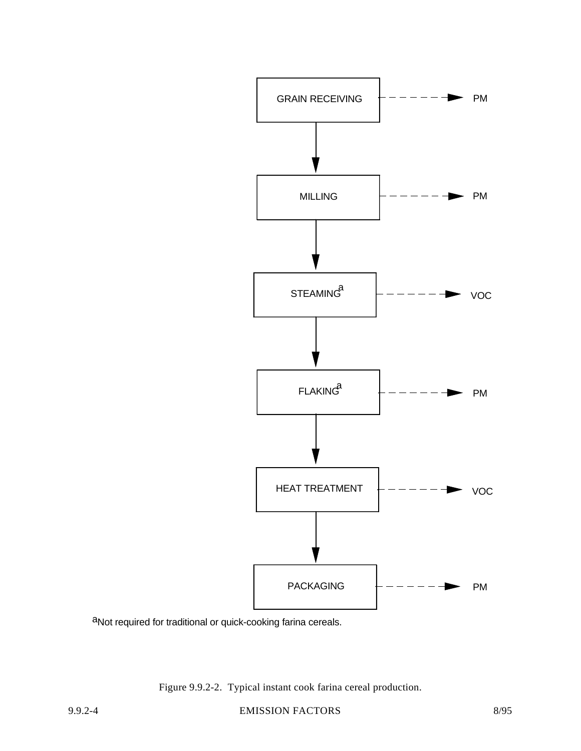

aNot required for traditional or quick-cooking farina cereals.

Figure 9.9.2-2. Typical instant cook farina cereal production.

9.9.2-4 EMISSION FACTORS 8/95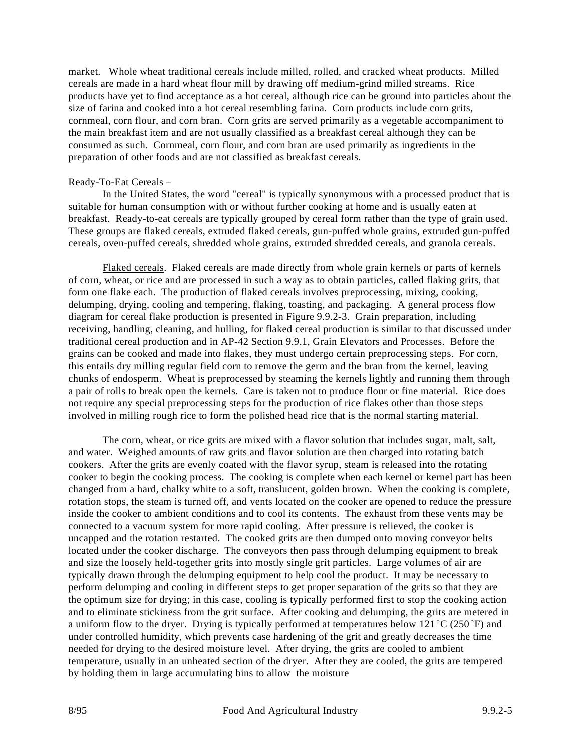market. Whole wheat traditional cereals include milled, rolled, and cracked wheat products. Milled cereals are made in a hard wheat flour mill by drawing off medium-grind milled streams. Rice products have yet to find acceptance as a hot cereal, although rice can be ground into particles about the size of farina and cooked into a hot cereal resembling farina. Corn products include corn grits, cornmeal, corn flour, and corn bran. Corn grits are served primarily as a vegetable accompaniment to the main breakfast item and are not usually classified as a breakfast cereal although they can be consumed as such. Cornmeal, corn flour, and corn bran are used primarily as ingredients in the preparation of other foods and are not classified as breakfast cereals.

#### Ready-To-Eat Cereals –

In the United States, the word "cereal" is typically synonymous with a processed product that is suitable for human consumption with or without further cooking at home and is usually eaten at breakfast. Ready-to-eat cereals are typically grouped by cereal form rather than the type of grain used. These groups are flaked cereals, extruded flaked cereals, gun-puffed whole grains, extruded gun-puffed cereals, oven-puffed cereals, shredded whole grains, extruded shredded cereals, and granola cereals.

Flaked cereals. Flaked cereals are made directly from whole grain kernels or parts of kernels of corn, wheat, or rice and are processed in such a way as to obtain particles, called flaking grits, that form one flake each. The production of flaked cereals involves preprocessing, mixing, cooking, delumping, drying, cooling and tempering, flaking, toasting, and packaging. A general process flow diagram for cereal flake production is presented in Figure 9.9.2-3. Grain preparation, including receiving, handling, cleaning, and hulling, for flaked cereal production is similar to that discussed under traditional cereal production and in AP-42 Section 9.9.1, Grain Elevators and Processes. Before the grains can be cooked and made into flakes, they must undergo certain preprocessing steps. For corn, this entails dry milling regular field corn to remove the germ and the bran from the kernel, leaving chunks of endosperm. Wheat is preprocessed by steaming the kernels lightly and running them through a pair of rolls to break open the kernels. Care is taken not to produce flour or fine material. Rice does not require any special preprocessing steps for the production of rice flakes other than those steps involved in milling rough rice to form the polished head rice that is the normal starting material.

The corn, wheat, or rice grits are mixed with a flavor solution that includes sugar, malt, salt, and water. Weighed amounts of raw grits and flavor solution are then charged into rotating batch cookers. After the grits are evenly coated with the flavor syrup, steam is released into the rotating cooker to begin the cooking process. The cooking is complete when each kernel or kernel part has been changed from a hard, chalky white to a soft, translucent, golden brown. When the cooking is complete, rotation stops, the steam is turned off, and vents located on the cooker are opened to reduce the pressure inside the cooker to ambient conditions and to cool its contents. The exhaust from these vents may be connected to a vacuum system for more rapid cooling. After pressure is relieved, the cooker is uncapped and the rotation restarted. The cooked grits are then dumped onto moving conveyor belts located under the cooker discharge. The conveyors then pass through delumping equipment to break and size the loosely held-together grits into mostly single grit particles. Large volumes of air are typically drawn through the delumping equipment to help cool the product. It may be necessary to perform delumping and cooling in different steps to get proper separation of the grits so that they are the optimum size for drying; in this case, cooling is typically performed first to stop the cooking action and to eliminate stickiness from the grit surface. After cooking and delumping, the grits are metered in a uniform flow to the dryer. Drying is typically performed at temperatures below 121 °C (250 °F) and under controlled humidity, which prevents case hardening of the grit and greatly decreases the time needed for drying to the desired moisture level. After drying, the grits are cooled to ambient temperature, usually in an unheated section of the dryer. After they are cooled, the grits are tempered by holding them in large accumulating bins to allow the moisture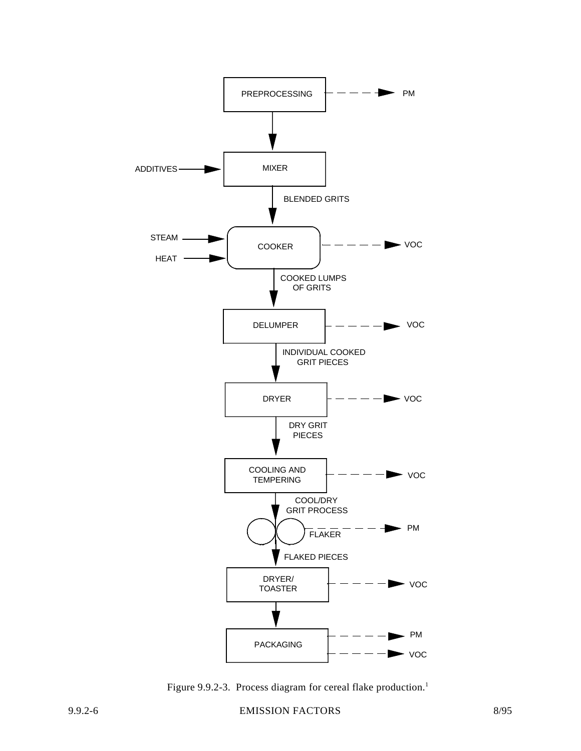

Figure 9.9.2-3. Process diagram for cereal flake production.<sup>1</sup>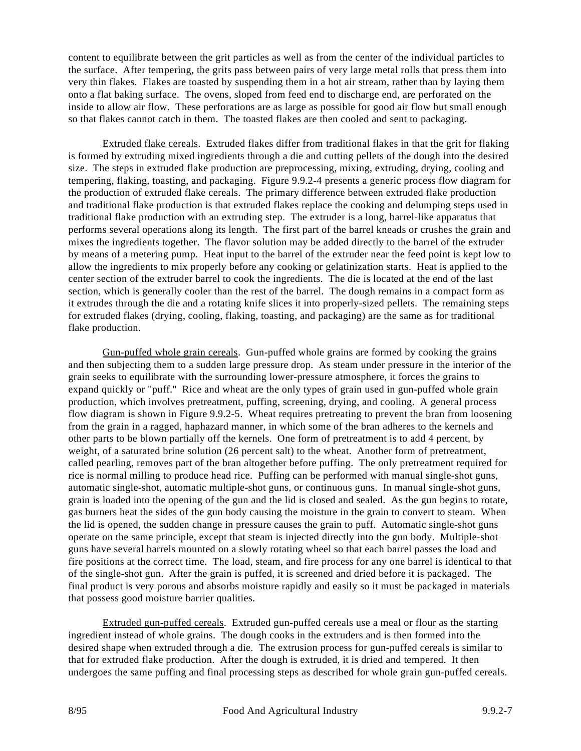content to equilibrate between the grit particles as well as from the center of the individual particles to the surface. After tempering, the grits pass between pairs of very large metal rolls that press them into very thin flakes. Flakes are toasted by suspending them in a hot air stream, rather than by laying them onto a flat baking surface. The ovens, sloped from feed end to discharge end, are perforated on the inside to allow air flow. These perforations are as large as possible for good air flow but small enough so that flakes cannot catch in them. The toasted flakes are then cooled and sent to packaging.

Extruded flake cereals. Extruded flakes differ from traditional flakes in that the grit for flaking is formed by extruding mixed ingredients through a die and cutting pellets of the dough into the desired size. The steps in extruded flake production are preprocessing, mixing, extruding, drying, cooling and tempering, flaking, toasting, and packaging. Figure 9.9.2-4 presents a generic process flow diagram for the production of extruded flake cereals. The primary difference between extruded flake production and traditional flake production is that extruded flakes replace the cooking and delumping steps used in traditional flake production with an extruding step. The extruder is a long, barrel-like apparatus that performs several operations along its length. The first part of the barrel kneads or crushes the grain and mixes the ingredients together. The flavor solution may be added directly to the barrel of the extruder by means of a metering pump. Heat input to the barrel of the extruder near the feed point is kept low to allow the ingredients to mix properly before any cooking or gelatinization starts. Heat is applied to the center section of the extruder barrel to cook the ingredients. The die is located at the end of the last section, which is generally cooler than the rest of the barrel. The dough remains in a compact form as it extrudes through the die and a rotating knife slices it into properly-sized pellets. The remaining steps for extruded flakes (drying, cooling, flaking, toasting, and packaging) are the same as for traditional flake production.

Gun-puffed whole grain cereals. Gun-puffed whole grains are formed by cooking the grains and then subjecting them to a sudden large pressure drop. As steam under pressure in the interior of the grain seeks to equilibrate with the surrounding lower-pressure atmosphere, it forces the grains to expand quickly or "puff." Rice and wheat are the only types of grain used in gun-puffed whole grain production, which involves pretreatment, puffing, screening, drying, and cooling. A general process flow diagram is shown in Figure 9.9.2-5. Wheat requires pretreating to prevent the bran from loosening from the grain in a ragged, haphazard manner, in which some of the bran adheres to the kernels and other parts to be blown partially off the kernels. One form of pretreatment is to add 4 percent, by weight, of a saturated brine solution (26 percent salt) to the wheat. Another form of pretreatment, called pearling, removes part of the bran altogether before puffing. The only pretreatment required for rice is normal milling to produce head rice. Puffing can be performed with manual single-shot guns, automatic single-shot, automatic multiple-shot guns, or continuous guns. In manual single-shot guns, grain is loaded into the opening of the gun and the lid is closed and sealed. As the gun begins to rotate, gas burners heat the sides of the gun body causing the moisture in the grain to convert to steam. When the lid is opened, the sudden change in pressure causes the grain to puff. Automatic single-shot guns operate on the same principle, except that steam is injected directly into the gun body. Multiple-shot guns have several barrels mounted on a slowly rotating wheel so that each barrel passes the load and fire positions at the correct time. The load, steam, and fire process for any one barrel is identical to that of the single-shot gun. After the grain is puffed, it is screened and dried before it is packaged. The final product is very porous and absorbs moisture rapidly and easily so it must be packaged in materials that possess good moisture barrier qualities.

Extruded gun-puffed cereals. Extruded gun-puffed cereals use a meal or flour as the starting ingredient instead of whole grains. The dough cooks in the extruders and is then formed into the desired shape when extruded through a die. The extrusion process for gun-puffed cereals is similar to that for extruded flake production. After the dough is extruded, it is dried and tempered. It then undergoes the same puffing and final processing steps as described for whole grain gun-puffed cereals.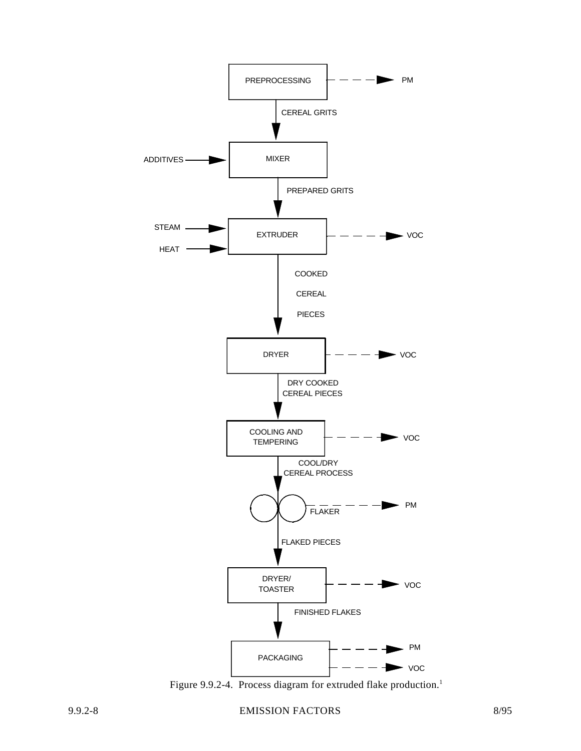

Figure 9.9.2-4. Process diagram for extruded flake production.<sup>1</sup>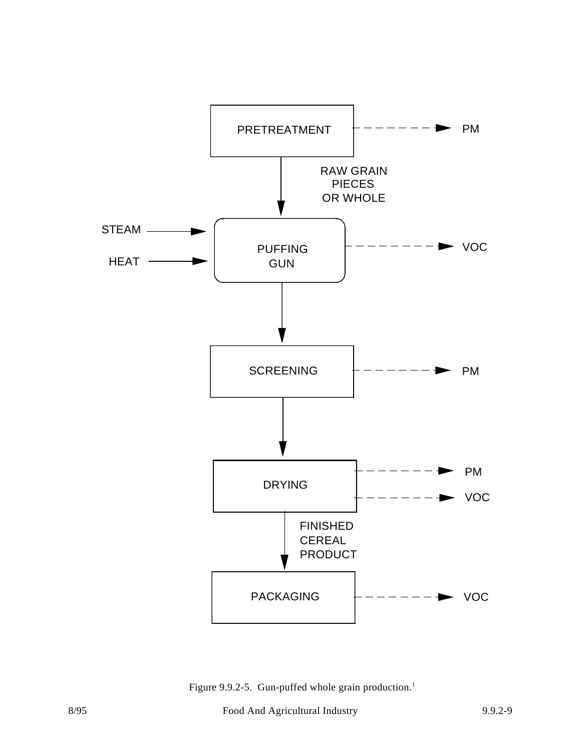

Figure 9.9.2-5. Gun-puffed whole grain production.<sup>1</sup>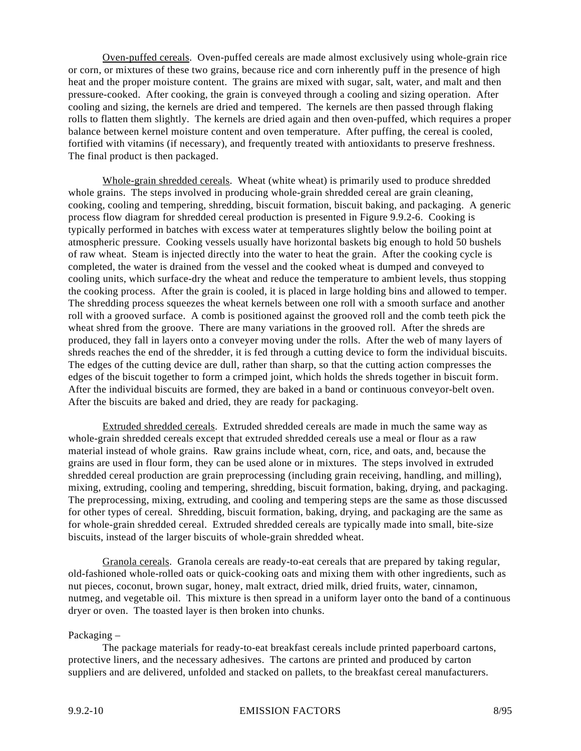Oven-puffed cereals. Oven-puffed cereals are made almost exclusively using whole-grain rice or corn, or mixtures of these two grains, because rice and corn inherently puff in the presence of high heat and the proper moisture content. The grains are mixed with sugar, salt, water, and malt and then pressure-cooked. After cooking, the grain is conveyed through a cooling and sizing operation. After cooling and sizing, the kernels are dried and tempered. The kernels are then passed through flaking rolls to flatten them slightly. The kernels are dried again and then oven-puffed, which requires a proper balance between kernel moisture content and oven temperature. After puffing, the cereal is cooled, fortified with vitamins (if necessary), and frequently treated with antioxidants to preserve freshness. The final product is then packaged.

Whole-grain shredded cereals. Wheat (white wheat) is primarily used to produce shredded whole grains. The steps involved in producing whole-grain shredded cereal are grain cleaning, cooking, cooling and tempering, shredding, biscuit formation, biscuit baking, and packaging. A generic process flow diagram for shredded cereal production is presented in Figure 9.9.2-6. Cooking is typically performed in batches with excess water at temperatures slightly below the boiling point at atmospheric pressure. Cooking vessels usually have horizontal baskets big enough to hold 50 bushels of raw wheat. Steam is injected directly into the water to heat the grain. After the cooking cycle is completed, the water is drained from the vessel and the cooked wheat is dumped and conveyed to cooling units, which surface-dry the wheat and reduce the temperature to ambient levels, thus stopping the cooking process. After the grain is cooled, it is placed in large holding bins and allowed to temper. The shredding process squeezes the wheat kernels between one roll with a smooth surface and another roll with a grooved surface. A comb is positioned against the grooved roll and the comb teeth pick the wheat shred from the groove. There are many variations in the grooved roll. After the shreds are produced, they fall in layers onto a conveyer moving under the rolls. After the web of many layers of shreds reaches the end of the shredder, it is fed through a cutting device to form the individual biscuits. The edges of the cutting device are dull, rather than sharp, so that the cutting action compresses the edges of the biscuit together to form a crimped joint, which holds the shreds together in biscuit form. After the individual biscuits are formed, they are baked in a band or continuous conveyor-belt oven. After the biscuits are baked and dried, they are ready for packaging.

Extruded shredded cereals. Extruded shredded cereals are made in much the same way as whole-grain shredded cereals except that extruded shredded cereals use a meal or flour as a raw material instead of whole grains. Raw grains include wheat, corn, rice, and oats, and, because the grains are used in flour form, they can be used alone or in mixtures. The steps involved in extruded shredded cereal production are grain preprocessing (including grain receiving, handling, and milling), mixing, extruding, cooling and tempering, shredding, biscuit formation, baking, drying, and packaging. The preprocessing, mixing, extruding, and cooling and tempering steps are the same as those discussed for other types of cereal. Shredding, biscuit formation, baking, drying, and packaging are the same as for whole-grain shredded cereal. Extruded shredded cereals are typically made into small, bite-size biscuits, instead of the larger biscuits of whole-grain shredded wheat.

Granola cereals. Granola cereals are ready-to-eat cereals that are prepared by taking regular, old-fashioned whole-rolled oats or quick-cooking oats and mixing them with other ingredients, such as nut pieces, coconut, brown sugar, honey, malt extract, dried milk, dried fruits, water, cinnamon, nutmeg, and vegetable oil. This mixture is then spread in a uniform layer onto the band of a continuous dryer or oven. The toasted layer is then broken into chunks.

#### Packaging –

The package materials for ready-to-eat breakfast cereals include printed paperboard cartons, protective liners, and the necessary adhesives. The cartons are printed and produced by carton suppliers and are delivered, unfolded and stacked on pallets, to the breakfast cereal manufacturers.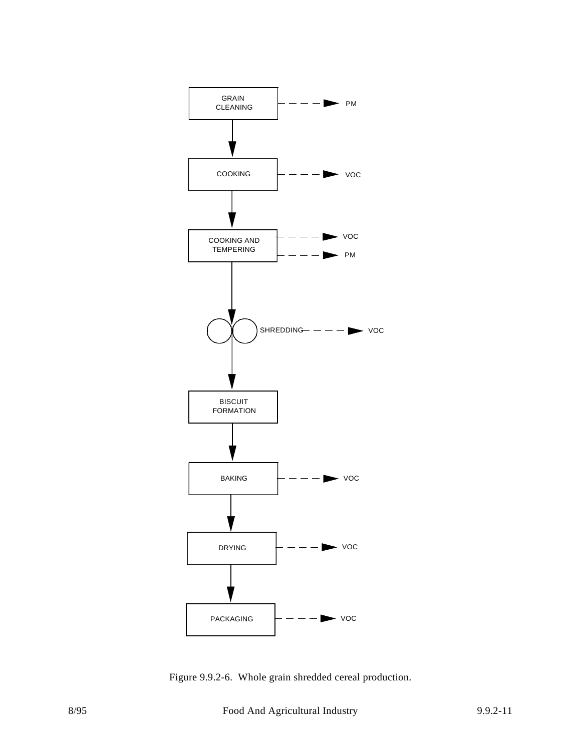

Figure 9.9.2-6. Whole grain shredded cereal production.